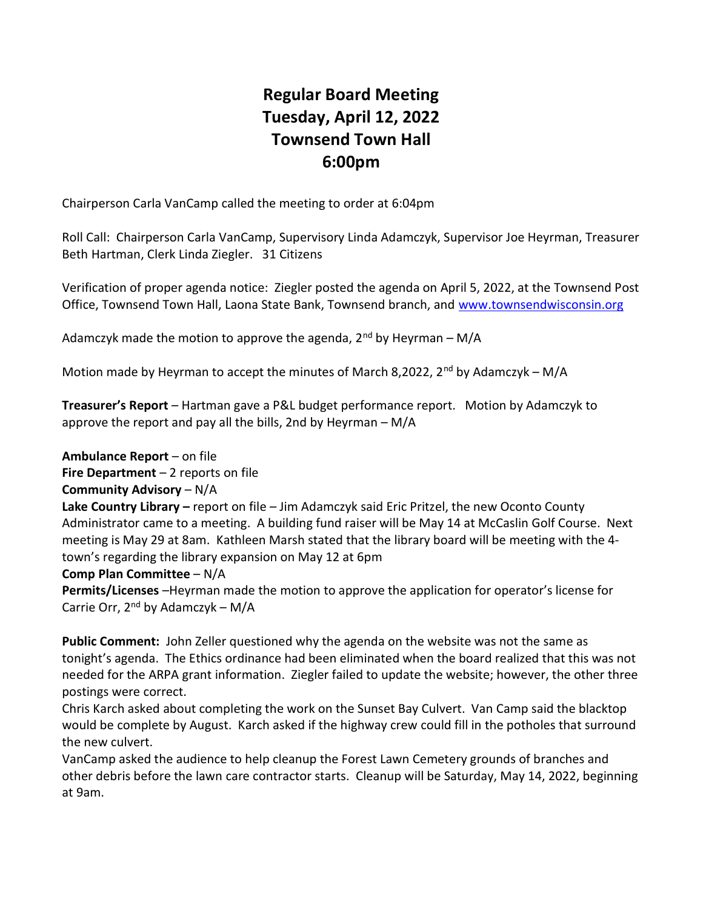## Regular Board Meeting Tuesday, April 12, 2022 Townsend Town Hall 6:00pm

Chairperson Carla VanCamp called the meeting to order at 6:04pm

Roll Call: Chairperson Carla VanCamp, Supervisory Linda Adamczyk, Supervisor Joe Heyrman, Treasurer Beth Hartman, Clerk Linda Ziegler. 31 Citizens

Verification of proper agenda notice: Ziegler posted the agenda on April 5, 2022, at the Townsend Post Office, Townsend Town Hall, Laona State Bank, Townsend branch, and www.townsendwisconsin.org

Adamczyk made the motion to approve the agenda,  $2^{nd}$  by Heyrman – M/A

Motion made by Heyrman to accept the minutes of March 8,2022, 2<sup>nd</sup> by Adamczyk – M/A

Treasurer's Report – Hartman gave a P&L budget performance report. Motion by Adamczyk to approve the report and pay all the bills, 2nd by Heyrman  $-M/A$ 

Ambulance Report – on file Fire Department  $-2$  reports on file Community Advisory – N/A Lake Country Library – report on file – Jim Adamczyk said Eric Pritzel, the new Oconto County Administrator came to a meeting. A building fund raiser will be May 14 at McCaslin Golf Course. Next meeting is May 29 at 8am. Kathleen Marsh stated that the library board will be meeting with the 4 town's regarding the library expansion on May 12 at 6pm Comp Plan Committee – N/A Permits/Licenses –Heyrman made the motion to approve the application for operator's license for

Carrie Orr,  $2^{nd}$  by Adamczyk – M/A

Public Comment: John Zeller questioned why the agenda on the website was not the same as tonight's agenda. The Ethics ordinance had been eliminated when the board realized that this was not needed for the ARPA grant information. Ziegler failed to update the website; however, the other three postings were correct.

Chris Karch asked about completing the work on the Sunset Bay Culvert. Van Camp said the blacktop would be complete by August. Karch asked if the highway crew could fill in the potholes that surround the new culvert.

VanCamp asked the audience to help cleanup the Forest Lawn Cemetery grounds of branches and other debris before the lawn care contractor starts. Cleanup will be Saturday, May 14, 2022, beginning at 9am.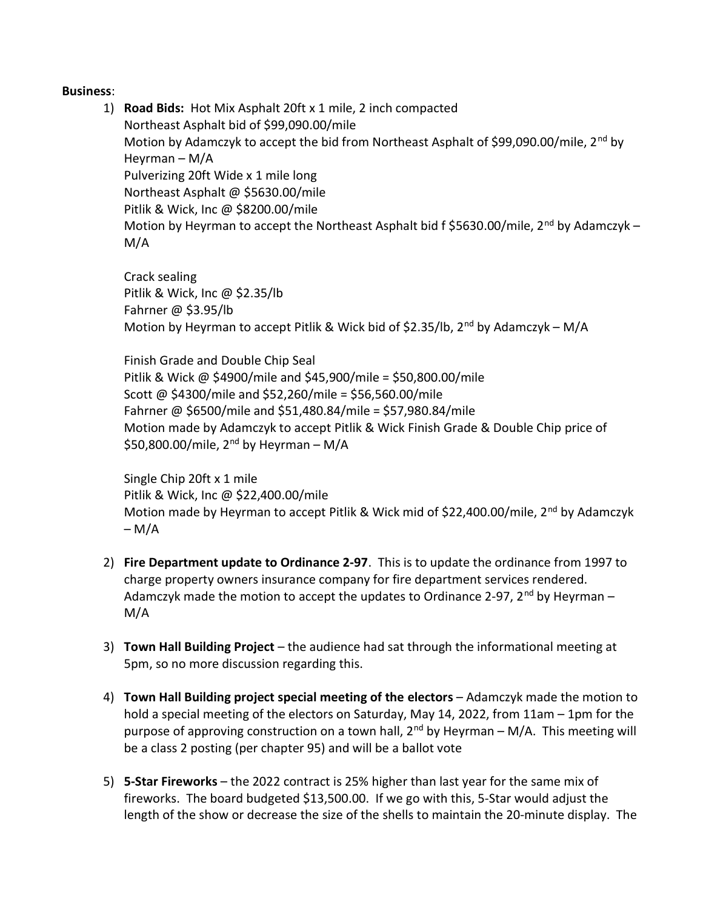## Business:

1) Road Bids: Hot Mix Asphalt 20ft x 1 mile, 2 inch compacted Northeast Asphalt bid of \$99,090.00/mile Motion by Adamczyk to accept the bid from Northeast Asphalt of \$99,090.00/mile,  $2<sup>nd</sup>$  by Heyrman – M/A Pulverizing 20ft Wide x 1 mile long Northeast Asphalt @ \$5630.00/mile Pitlik & Wick, Inc @ \$8200.00/mile Motion by Heyrman to accept the Northeast Asphalt bid f \$5630.00/mile,  $2^{nd}$  by Adamczyk – M/A

Crack sealing Pitlik & Wick, Inc @ \$2.35/lb Fahrner @ \$3.95/lb Motion by Heyrman to accept Pitlik & Wick bid of \$2.35/lb,  $2^{nd}$  by Adamczyk – M/A

Finish Grade and Double Chip Seal Pitlik & Wick @ \$4900/mile and \$45,900/mile = \$50,800.00/mile Scott @ \$4300/mile and \$52,260/mile = \$56,560.00/mile Fahrner @ \$6500/mile and \$51,480.84/mile = \$57,980.84/mile Motion made by Adamczyk to accept Pitlik & Wick Finish Grade & Double Chip price of  $$50,800.00/mile, 2<sup>nd</sup>$  by Heyrman – M/A

Single Chip 20ft x 1 mile Pitlik & Wick, Inc @ \$22,400.00/mile Motion made by Heyrman to accept Pitlik & Wick mid of \$22,400.00/mile, 2<sup>nd</sup> by Adamczyk  $- M/A$ 

- 2) Fire Department update to Ordinance 2-97. This is to update the ordinance from 1997 to charge property owners insurance company for fire department services rendered. Adamczyk made the motion to accept the updates to Ordinance 2-97, 2<sup>nd</sup> by Heyrman – M/A
- 3) Town Hall Building Project the audience had sat through the informational meeting at 5pm, so no more discussion regarding this.
- 4) Town Hall Building project special meeting of the electors Adamczyk made the motion to hold a special meeting of the electors on Saturday, May 14, 2022, from 11am – 1pm for the purpose of approving construction on a town hall,  $2<sup>nd</sup>$  by Heyrman – M/A. This meeting will be a class 2 posting (per chapter 95) and will be a ballot vote
- 5) **5-Star Fireworks** the 2022 contract is 25% higher than last year for the same mix of fireworks. The board budgeted \$13,500.00. If we go with this, 5-Star would adjust the length of the show or decrease the size of the shells to maintain the 20-minute display. The